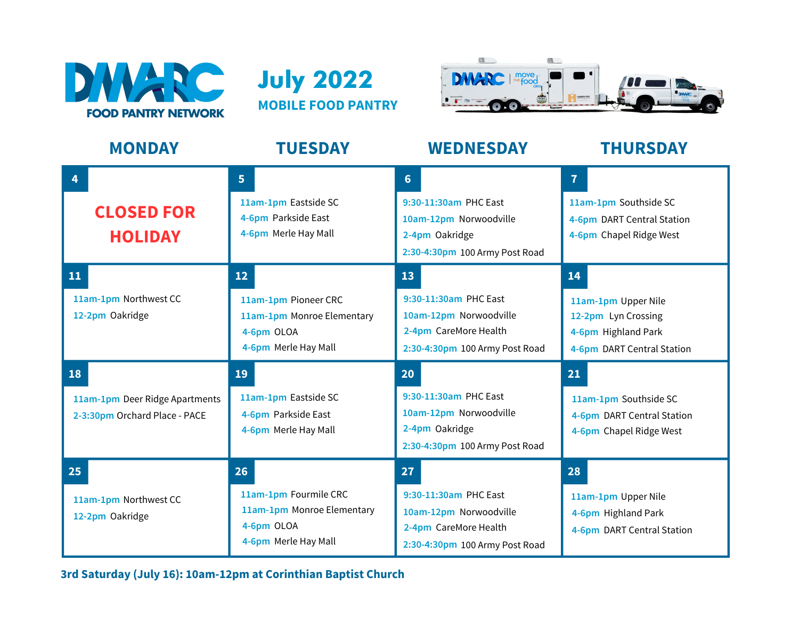





| <b>MONDAY</b>                                                         | <b>TUESDAY</b>                                                                                  | <b>WEDNESDAY</b>                                                                                                        | <b>THURSDAY</b>                                                                                       |
|-----------------------------------------------------------------------|-------------------------------------------------------------------------------------------------|-------------------------------------------------------------------------------------------------------------------------|-------------------------------------------------------------------------------------------------------|
| 4<br><b>CLOSED FOR</b><br><b>HOLIDAY</b>                              | 5 <sup>1</sup><br>11am-1pm Eastside SC<br>4-6pm Parkside East<br>4-6pm Merle Hay Mall           | $6 \overline{6}$<br>9:30-11:30am PHC East<br>10am-12pm Norwoodville<br>2-4pm Oakridge<br>2:30-4:30pm 100 Army Post Road | $\overline{7}$<br>11am-1pm Southside SC<br>4-6pm DART Central Station<br>4-6pm Chapel Ridge West      |
| 11<br>11am-1pm Northwest CC<br>12-2pm Oakridge                        | 12<br>11am-1pm Pioneer CRC<br>11am-1pm Monroe Elementary<br>4-6pm OLOA<br>4-6pm Merle Hay Mall  | 13<br>9:30-11:30am PHC East<br>10am-12pm Norwoodville<br>2-4pm CareMore Health<br>2:30-4:30pm 100 Army Post Road        | 14<br>11am-1pm Upper Nile<br>12-2pm Lyn Crossing<br>4-6pm Highland Park<br>4-6pm DART Central Station |
| 18<br>11am-1pm Deer Ridge Apartments<br>2-3:30pm Orchard Place - PACE | 19<br>11am-1pm Eastside SC<br>4-6pm Parkside East<br>4-6pm Merle Hay Mall                       | 20<br>9:30-11:30am PHC East<br>10am-12pm Norwoodville<br>2-4pm Oakridge<br>2:30-4:30pm 100 Army Post Road               | 21<br>11am-1pm Southside SC<br>4-6pm DART Central Station<br>4-6pm Chapel Ridge West                  |
| 25<br>11am-1pm Northwest CC<br>12-2pm Oakridge                        | 26<br>11am-1pm Fourmile CRC<br>11am-1pm Monroe Elementary<br>4-6pm OLOA<br>4-6pm Merle Hay Mall | 27<br>9:30-11:30am PHC East<br>10am-12pm Norwoodville<br>2-4pm CareMore Health<br>2:30-4:30pm 100 Army Post Road        | 28<br>11am-1pm Upper Nile<br>4-6pm Highland Park<br>4-6pm DART Central Station                        |

**3rd Saturday (July 16): 10am-12pm at Corinthian Baptist Church**